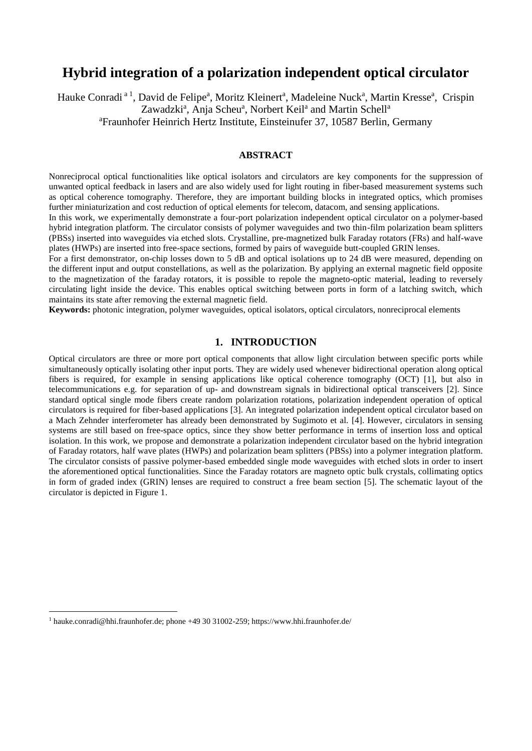# **Hybrid integration of a polarization independent optical circulator**

Hauke Conradi<sup>a 1</sup>, David de Felipe<sup>a</sup>, Moritz Kleinert<sup>a</sup>, Madeleine Nuck<sup>a</sup>, Martin Kresse<sup>a</sup>, Crispin Zawadzki<sup>a</sup>, Anja Scheu<sup>a</sup>, Norbert Keil<sup>a</sup> and Martin Schell<sup>a</sup> <sup>a</sup>Fraunhofer Heinrich Hertz Institute, Einsteinufer 37, 10587 Berlin, Germany

### **ABSTRACT**

Nonreciprocal optical functionalities like optical isolators and circulators are key components for the suppression of unwanted optical feedback in lasers and are also widely used for light routing in fiber-based measurement systems such as optical coherence tomography. Therefore, they are important building blocks in integrated optics, which promises further miniaturization and cost reduction of optical elements for telecom, datacom, and sensing applications.

In this work, we experimentally demonstrate a four-port polarization independent optical circulator on a polymer-based hybrid integration platform. The circulator consists of polymer waveguides and two thin-film polarization beam splitters (PBSs) inserted into waveguides via etched slots. Crystalline, pre-magnetized bulk Faraday rotators (FRs) and half-wave plates (HWPs) are inserted into free-space sections, formed by pairs of waveguide butt-coupled GRIN lenses.

For a first demonstrator, on-chip losses down to 5 dB and optical isolations up to 24 dB were measured, depending on the different input and output constellations, as well as the polarization. By applying an external magnetic field opposite to the magnetization of the faraday rotators, it is possible to repole the magneto-optic material, leading to reversely circulating light inside the device. This enables optical switching between ports in form of a latching switch, which maintains its state after removing the external magnetic field.

**Keywords:** photonic integration, polymer waveguides, optical isolators, optical circulators, nonreciprocal elements

## **1. INTRODUCTION**

Optical circulators are three or more port optical components that allow light circulation between specific ports while simultaneously optically isolating other input ports. They are widely used whenever bidirectional operation along optical fibers is required, for example in sensing applications like optical coherence tomography (OCT) [1], but also in telecommunications e.g. for separation of up- and downstream signals in bidirectional optical transceivers [2]. Since standard optical single mode fibers create random polarization rotations, polarization independent operation of optical circulators is required for fiber-based applications [3]. An integrated polarization independent optical circulator based on a Mach Zehnder interferometer has already been demonstrated by Sugimoto et al. [4]. However, circulators in sensing systems are still based on free-space optics, since they show better performance in terms of insertion loss and optical isolation. In this work, we propose and demonstrate a polarization independent circulator based on the hybrid integration of Faraday rotators, half wave plates (HWPs) and polarization beam splitters (PBSs) into a polymer integration platform. The circulator consists of passive polymer-based embedded single mode waveguides with etched slots in order to insert the aforementioned optical functionalities. Since the Faraday rotators are magneto optic bulk crystals, collimating optics in form of graded index (GRIN) lenses are required to construct a free beam section [5]. The schematic layout of the circulator is depicted in Figure 1.

 $\overline{a}$ 

<sup>1</sup> hauke.conradi@hhi.fraunhofer.de; phone +49 30 31002-259; https://www.hhi.fraunhofer.de/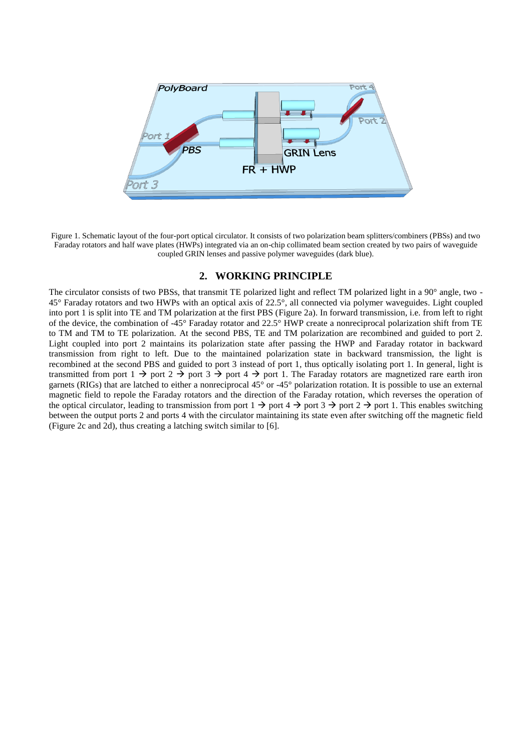

Figure 1. Schematic layout of the four-port optical circulator. It consists of two polarization beam splitters/combiners (PBSs) and two Faraday rotators and half wave plates (HWPs) integrated via an on-chip collimated beam section created by two pairs of waveguide coupled GRIN lenses and passive polymer waveguides (dark blue).

## **2. WORKING PRINCIPLE**

The circulator consists of two PBSs, that transmit TE polarized light and reflect TM polarized light in a 90° angle, two - 45° Faraday rotators and two HWPs with an optical axis of 22.5°, all connected via polymer waveguides. Light coupled into port 1 is split into TE and TM polarization at the first PBS (Figure 2a). In forward transmission, i.e. from left to right of the device, the combination of -45° Faraday rotator and 22.5° HWP create a nonreciprocal polarization shift from TE to TM and TM to TE polarization. At the second PBS, TE and TM polarization are recombined and guided to port 2. Light coupled into port 2 maintains its polarization state after passing the HWP and Faraday rotator in backward transmission from right to left. Due to the maintained polarization state in backward transmission, the light is recombined at the second PBS and guided to port 3 instead of port 1, thus optically isolating port 1. In general, light is transmitted from port  $1 \rightarrow$  port  $2 \rightarrow$  port  $3 \rightarrow$  port  $4 \rightarrow$  port 1. The Faraday rotators are magnetized rare earth iron garnets (RIGs) that are latched to either a nonreciprocal 45° or -45° polarization rotation. It is possible to use an external magnetic field to repole the Faraday rotators and the direction of the Faraday rotation, which reverses the operation of the optical circulator, leading to transmission from port  $1 \rightarrow$  port  $4 \rightarrow$  port  $3 \rightarrow$  port  $2 \rightarrow$  port 1. This enables switching between the output ports 2 and ports 4 with the circulator maintaining its state even after switching off the magnetic field (Figure 2c and 2d), thus creating a latching switch similar to [6].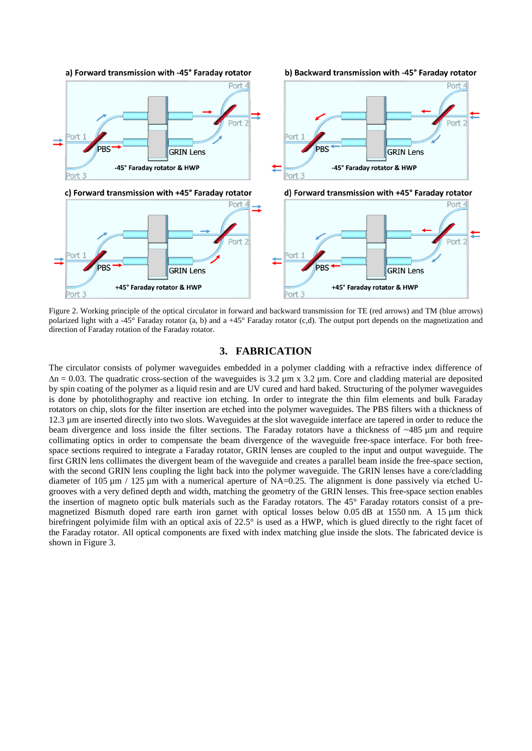

Figure 2. Working principle of the optical circulator in forward and backward transmission for TE (red arrows) and TM (blue arrows) polarized light with a -45° Faraday rotator (a, b) and a +45° Faraday rotator (c,d). The output port depends on the magnetization and direction of Faraday rotation of the Faraday rotator.

## **3. FABRICATION**

The circulator consists of polymer waveguides embedded in a polymer cladding with a refractive index difference of  $\Delta n = 0.03$ . The quadratic cross-section of the waveguides is 3.2  $\mu$ m x 3.2  $\mu$ m. Core and cladding material are deposited by spin coating of the polymer as a liquid resin and are UV cured and hard baked. Structuring of the polymer waveguides is done by photolithography and reactive ion etching. In order to integrate the thin film elements and bulk Faraday rotators on chip, slots for the filter insertion are etched into the polymer waveguides. The PBS filters with a thickness of 12.3 µm are inserted directly into two slots. Waveguides at the slot waveguide interface are tapered in order to reduce the beam divergence and loss inside the filter sections. The Faraday rotators have a thickness of  $\sim$ 485  $\mu$ m and require collimating optics in order to compensate the beam divergence of the waveguide free-space interface. For both freespace sections required to integrate a Faraday rotator, GRIN lenses are coupled to the input and output waveguide. The first GRIN lens collimates the divergent beam of the waveguide and creates a parallel beam inside the free-space section, with the second GRIN lens coupling the light back into the polymer waveguide. The GRIN lenses have a core/cladding diameter of 105  $\mu$ m / 125  $\mu$ m with a numerical aperture of NA=0.25. The alignment is done passively via etched Ugrooves with a very defined depth and width, matching the geometry of the GRIN lenses. This free-space section enables the insertion of magneto optic bulk materials such as the Faraday rotators. The 45° Faraday rotators consist of a premagnetized Bismuth doped rare earth iron garnet with optical losses below 0.05 dB at 1550 nm. A 15  $\mu$ m thick birefringent polyimide film with an optical axis of 22.5° is used as a HWP, which is glued directly to the right facet of the Faraday rotator. All optical components are fixed with index matching glue inside the slots. The fabricated device is shown in Figure 3.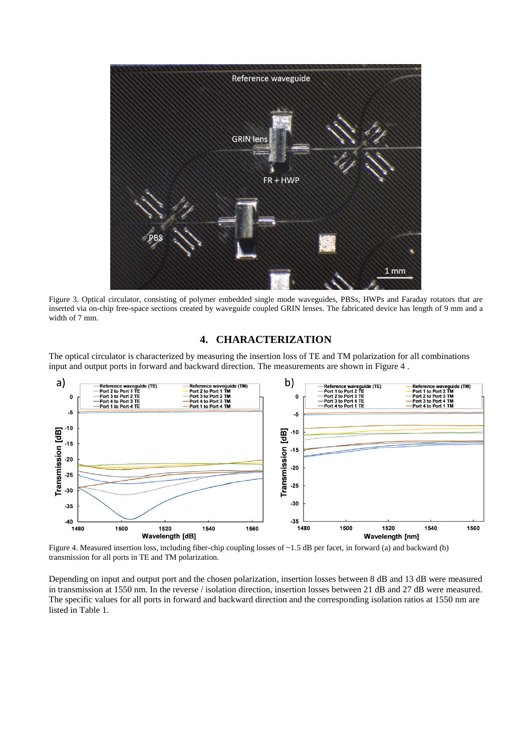

Figure 3. Optical circulator, consisting of polymer embedded single mode waveguides, PBSs, HWPs and Faraday rotators that are inserted via on-chip free-space sections created by waveguide coupled GRIN lenses. The fabricated device has length of 9 mm and a width of 7 mm.

## **4. CHARACTERIZATION**

The optical circulator is characterized by measuring the insertion loss of TE and TM polarization for all combinations input and output ports in forward and backward direction. The measurements are shown in Figure 4 .



Figure 4. Measured insertion loss, including fiber-chip coupling losses of  $\sim$  1.5 dB per facet, in forward (a) and backward (b) transmission for all ports in TE and TM polarization.

Depending on input and output port and the chosen polarization, insertion losses between 8 dB and 13 dB were measured in transmission at 1550 nm. In the reverse / isolation direction, insertion losses between 21 dB and 27 dB were measured. The specific values for all ports in forward and backward direction and the corresponding isolation ratios at 1550 nm are listed in Table 1.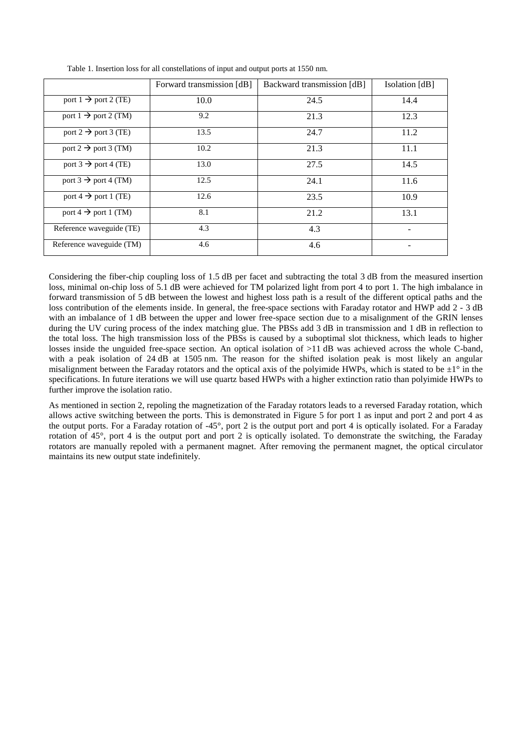|                                  | Forward transmission [dB] | Backward transmission [dB] | Isolation [dB] |
|----------------------------------|---------------------------|----------------------------|----------------|
| port $1 \rightarrow$ port 2 (TE) | 10.0                      | 24.5                       | 14.4           |
| port 1 $\rightarrow$ port 2 (TM) | 9.2                       | 21.3                       | 12.3           |
| port 2 $\rightarrow$ port 3 (TE) | 13.5                      | 24.7                       | 11.2           |
| port 2 $\rightarrow$ port 3 (TM) | 10.2                      | 21.3                       | 11.1           |
| port 3 $\rightarrow$ port 4 (TE) | 13.0                      | 27.5                       | 14.5           |
| port 3 $\rightarrow$ port 4 (TM) | 12.5                      | 24.1                       | 11.6           |
| port 4 $\rightarrow$ port 1 (TE) | 12.6                      | 23.5                       | 10.9           |
| port 4 $\rightarrow$ port 1 (TM) | 8.1                       | 21.2                       | 13.1           |
| Reference waveguide (TE)         | 4.3                       | 4.3                        |                |
| Reference waveguide (TM)         | 4.6                       | 4.6                        |                |

Table 1. Insertion loss for all constellations of input and output ports at 1550 nm.

Considering the fiber-chip coupling loss of 1.5 dB per facet and subtracting the total 3 dB from the measured insertion loss, minimal on-chip loss of 5.1 dB were achieved for TM polarized light from port 4 to port 1. The high imbalance in forward transmission of 5 dB between the lowest and highest loss path is a result of the different optical paths and the loss contribution of the elements inside. In general, the free-space sections with Faraday rotator and HWP add 2 - 3 dB with an imbalance of 1 dB between the upper and lower free-space section due to a misalignment of the GRIN lenses during the UV curing process of the index matching glue. The PBSs add 3 dB in transmission and 1 dB in reflection to the total loss. The high transmission loss of the PBSs is caused by a suboptimal slot thickness, which leads to higher losses inside the unguided free-space section. An optical isolation of >11 dB was achieved across the whole C-band, with a peak isolation of 24 dB at 1505 nm. The reason for the shifted isolation peak is most likely an angular misalignment between the Faraday rotators and the optical axis of the polyimide HWPs, which is stated to be  $\pm 1^{\circ}$  in the specifications. In future iterations we will use quartz based HWPs with a higher extinction ratio than polyimide HWPs to further improve the isolation ratio.

As mentioned in section 2, repoling the magnetization of the Faraday rotators leads to a reversed Faraday rotation, which allows active switching between the ports. This is demonstrated in Figure 5 for port 1 as input and port 2 and port 4 as the output ports. For a Faraday rotation of -45°, port 2 is the output port and port 4 is optically isolated. For a Faraday rotation of 45°, port 4 is the output port and port 2 is optically isolated. To demonstrate the switching, the Faraday rotators are manually repoled with a permanent magnet. After removing the permanent magnet, the optical circulator maintains its new output state indefinitely.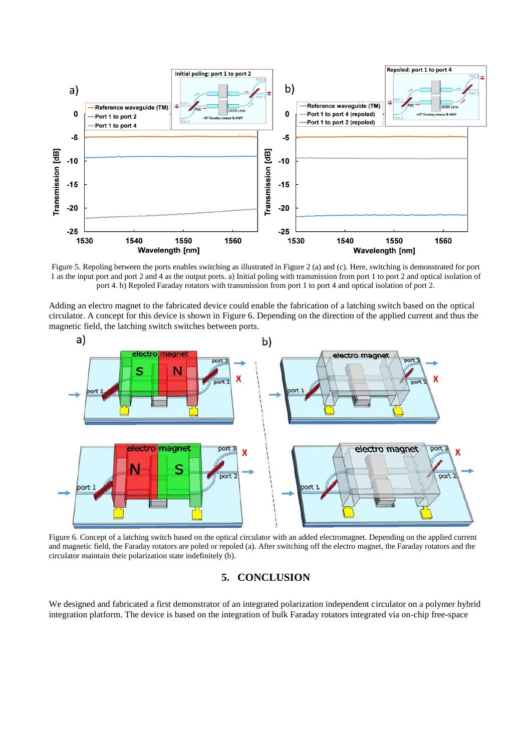

Figure 5. Repoling between the ports enables switching as illustrated in Figure 2 (a) and (c). Here, switching is demonstrated for port 1 as the input port and port 2 and 4 as the output ports. a) Initial poling with transmission from port 1 to port 2 and optical isolation of port 4. b) Repoled Faraday rotators with transmission from port 1 to port 4 and optical isolation of port 2.

Adding an electro magnet to the fabricated device could enable the fabrication of a latching switch based on the optical circulator. A concept for this device is shown in Figure 6. Depending on the direction of the applied current and thus the magnetic field, the latching switch switches between ports.



Figure 6. Concept of a latching switch based on the optical circulator with an added electromagnet. Depending on the applied current and magnetic field, the Faraday rotators are poled or repoled (a). After switching off the electro magnet, the Faraday rotators and the circulator maintain their polarization state indefinitely (b).

# **5. CONCLUSION**

We designed and fabricated a first demonstrator of an integrated polarization independent circulator on a polymer hybrid integration platform. The device is based on the integration of bulk Faraday rotators integrated via on-chip free-space